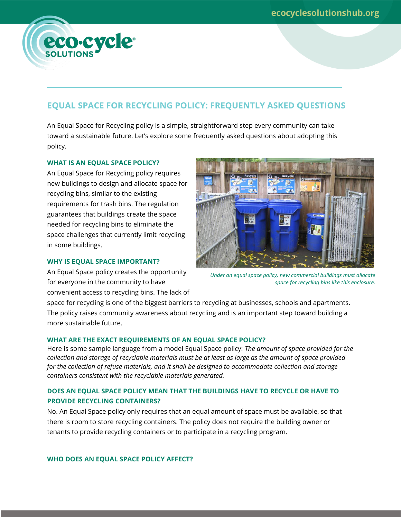### **EQUAL SPACE FOR RECYCLING POLICY: FREQUENTLY ASKED QUESTIONS**

An Equal Space for Recycling policy is a simple, straightforward step every community can take toward a sustainable future. Let's explore some frequently asked questions about adopting this policy.

#### **WHAT IS AN EQUAL SPACE POLICY?**

eco-cycle®

An Equal Space for Recycling policy requires new buildings to design and allocate space for recycling bins, similar to the existing requirements for trash bins. The regulation guarantees that buildings create the space needed for recycling bins to eliminate the space challenges that currently limit recycling in some buildings.

#### **WHY IS EQUAL SPACE IMPORTANT?**

An Equal Space policy creates the opportunity for everyone in the community to have convenient access to recycling bins. The lack of



*Under an equal space policy, new commercial buildings must allocate space for recycling bins like this enclosure.*

space for recycling is one of the biggest barriers to recycling at businesses, schools and apartments. The policy raises community awareness about recycling and is an important step toward building a more sustainable future.

#### **WHAT ARE THE EXACT REQUIREMENTS OF AN EQUAL SPACE POLICY?**

Here is some sample language from a model Equal Space policy: *The amount of space provided for the collection and storage of recyclable materials must be at least as large as the amount of space provided for the collection of refuse materials, and it shall be designed to accommodate collection and storage containers consistent with the recyclable materials generated.*

#### **DOES AN EQUAL SPACE POLICY MEAN THAT THE BUILDINGS HAVE TO RECYCLE OR HAVE TO PROVIDE RECYCLING CONTAINERS?**

No. An Equal Space policy only requires that an equal amount of space must be available, so that there is room to store recycling containers. The policy does not require the building owner or tenants to provide recycling containers or to participate in a recycling program.

**WHO DOES AN EQUAL SPACE POLICY AFFECT?**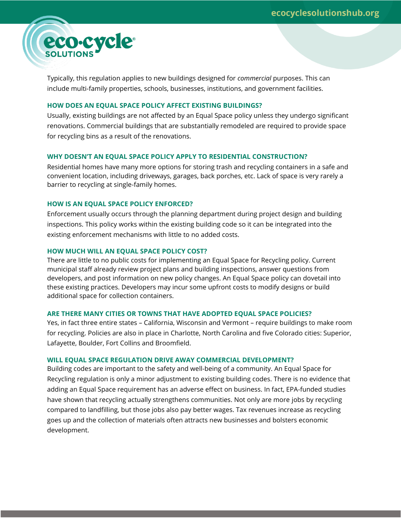# eco-cycle

Typically, this regulation applies to new buildings designed for *commercial* purposes. This can include multi-family properties, schools, businesses, institutions, and government facilities.

#### **HOW DOES AN EQUAL SPACE POLICY AFFECT EXISTING BUILDINGS?**

Usually, existing buildings are not affected by an Equal Space policy unless they undergo significant renovations. Commercial buildings that are substantially remodeled are required to provide space for recycling bins as a result of the renovations.

#### **WHY DOESN'T AN EQUAL SPACE POLICY APPLY TO RESIDENTIAL CONSTRUCTION?**

Residential homes have many more options for storing trash and recycling containers in a safe and convenient location, including driveways, garages, back porches, etc. Lack of space is very rarely a barrier to recycling at single-family homes.

#### **HOW IS AN EQUAL SPACE POLICY ENFORCED?**

Enforcement usually occurs through the planning department during project design and building inspections. This policy works within the existing building code so it can be integrated into the existing enforcement mechanisms with little to no added costs.

#### **HOW MUCH WILL AN EQUAL SPACE POLICY COST?**

There are little to no public costs for implementing an Equal Space for Recycling policy. Current municipal staff already review project plans and building inspections, answer questions from developers, and post information on new policy changes. An Equal Space policy can dovetail into these existing practices. Developers may incur some upfront costs to modify designs or build additional space for collection containers.

#### **ARE THERE MANY CITIES OR TOWNS THAT HAVE ADOPTED EQUAL SPACE POLICIES?**

Yes, in fact three entire states – California, Wisconsin and Vermont – require buildings to make room for recycling. Policies are also in place in Charlotte, North Carolina and five Colorado cities: Superior, Lafayette, Boulder, Fort Collins and Broomfield.

#### **WILL EQUAL SPACE REGULATION DRIVE AWAY COMMERCIAL DEVELOPMENT?**

Building codes are important to the safety and well-being of a community. An Equal Space for Recycling regulation is only a minor adjustment to existing building codes. There is no evidence that adding an Equal Space requirement has an adverse effect on business. In fact, EPA-funded studies have shown that recycling actually strengthens communities. Not only are more jobs by recycling compared to landfilling, but those jobs also pay better wages. Tax revenues increase as recycling goes up and the collection of materials often attracts new businesses and bolsters economic development.